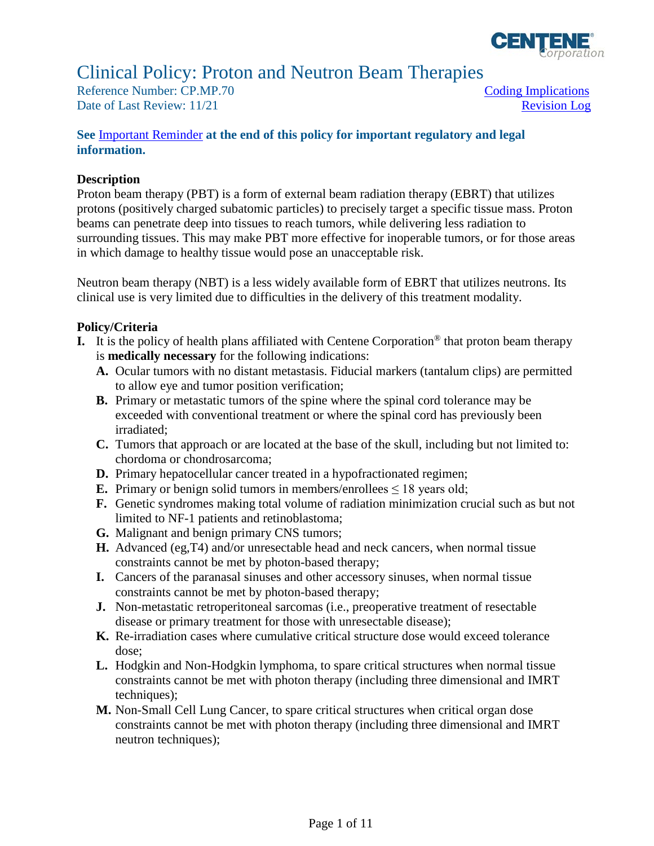

# Clinical Policy: Proton and Neutron Beam Therapies

Reference Number: CP.MP.70 Coding Implications Date of Last Review: 11/21 Revision Log

# **See** [Important Reminder](#page-9-0) **at the end of this policy for important regulatory and legal information.**

#### **Description**

 Proton beam therapy (PBT) is a form of external beam radiation therapy (EBRT) that utilizes protons (positively charged subatomic particles) to precisely target a specific tissue mass. Proton surrounding tissues. This may make PBT more effective for inoperable tumors, or for those areas beams can penetrate deep into tissues to reach tumors, while delivering less radiation to in which damage to healthy tissue would pose an unacceptable risk.

 Neutron beam therapy (NBT) is a less widely available form of EBRT that utilizes neutrons. Its clinical use is very limited due to difficulties in the delivery of this treatment modality.

#### **Policy/Criteria**

- **I.** It is the policy of health plans affiliated with Centene Corporation® that proton beam therapy is **medically necessary** for the following indications:
	- **A.** Ocular tumors with no distant metastasis. Fiducial markers (tantalum clips) are permitted to allow eye and tumor position verification;
	- **B.** Primary or metastatic tumors of the spine where the spinal cord tolerance may be exceeded with conventional treatment or where the spinal cord has previously been irradiated;
	- **C.** Tumors that approach or are located at the base of the skull, including but not limited to: chordoma or chondrosarcoma;
	- **D.** Primary hepatocellular cancer treated in a hypofractionated regimen;
	- **E.** Primary or benign solid tumors in members/enrollees  $\leq 18$  years old;
	- **F.** Genetic syndromes making total volume of radiation minimization crucial such as but not limited to NF-1 patients and retinoblastoma;
	- **G.** Malignant and benign primary CNS tumors;
	- **H.** Advanced (eg,T4) and/or unresectable head and neck cancers, when normal tissue constraints cannot be met by photon-based therapy;
	- **I.** Cancers of the paranasal sinuses and other accessory sinuses, when normal tissue constraints cannot be met by photon-based therapy;
	- **J.** Non-metastatic retroperitoneal sarcomas (i.e., preoperative treatment of resectable disease or primary treatment for those with unresectable disease);
	- **K.** Re-irradiation cases where cumulative critical structure dose would exceed tolerance dose;
	- **L.** Hodgkin and Non-Hodgkin lymphoma, to spare critical structures when normal tissue constraints cannot be met with photon therapy (including three dimensional and IMRT techniques):
	- **M.** Non-Small Cell Lung Cancer, to spare critical structures when critical organ dose constraints cannot be met with photon therapy (including three dimensional and IMRT neutron techniques);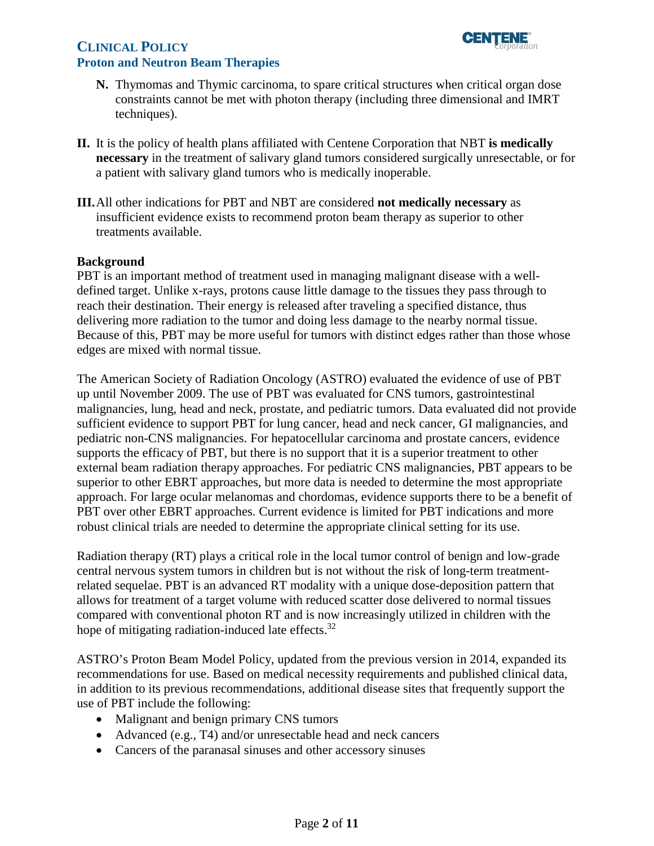

# **CLINICAL POLICY Proton and Neutron Beam Therapies**

- **N.** Thymomas and Thymic carcinoma, to spare critical structures when critical organ dose constraints cannot be met with photon therapy (including three dimensional and IMRT techniques).
- **II.** It is the policy of health plans affiliated with Centene Corporation that NBT **is medically necessary** in the treatment of salivary gland tumors considered surgically unresectable, or for a patient with salivary gland tumors who is medically inoperable.
- **III.**All other indications for PBT and NBT are considered **not medically necessary** as insufficient evidence exists to recommend proton beam therapy as superior to other treatments available.

#### **Background**

edges are mixed with normal tissue. PBT is an important method of treatment used in managing malignant disease with a welldefined target. Unlike x-rays, protons cause little damage to the tissues they pass through to reach their destination. Their energy is released after traveling a specified distance, thus delivering more radiation to the tumor and doing less damage to the nearby normal tissue. Because of this, PBT may be more useful for tumors with distinct edges rather than those whose

 approach. For large ocular melanomas and chordomas, evidence supports there to be a benefit of The American Society of Radiation Oncology (ASTRO) evaluated the evidence of use of PBT up until November 2009. The use of PBT was evaluated for CNS tumors, gastrointestinal malignancies, lung, head and neck, prostate, and pediatric tumors. Data evaluated did not provide sufficient evidence to support PBT for lung cancer, head and neck cancer, GI malignancies, and pediatric non-CNS malignancies. For hepatocellular carcinoma and prostate cancers, evidence supports the efficacy of PBT, but there is no support that it is a superior treatment to other external beam radiation therapy approaches. For pediatric CNS malignancies, PBT appears to be superior to other EBRT approaches, but more data is needed to determine the most appropriate PBT over other EBRT approaches. Current evidence is limited for PBT indications and more robust clinical trials are needed to determine the appropriate clinical setting for its use.

Radiation therapy (RT) plays a critical role in the local tumor control of benign and low-grade central nervous system tumors in children but is not without the risk of long-term treatmentrelated sequelae. PBT is an advanced RT modality with a unique dose-deposition pattern that allows for treatment of a target volume with reduced scatter dose delivered to normal tissues compared with conventional photon RT and is now increasingly utilized in children with the hope of mitigating radiation-induced late effects.<sup>32</sup>

 use of PBT include the following: ASTRO's Proton Beam Model Policy, updated from the previous version in 2014, expanded its recommendations for use. Based on medical necessity requirements and published clinical data, in addition to its previous recommendations, additional disease sites that frequently support the

- Malignant and benign primary CNS tumors
- Advanced (e.g., T4) and/or unresectable head and neck cancers
- Cancers of the paranasal sinuses and other accessory sinuses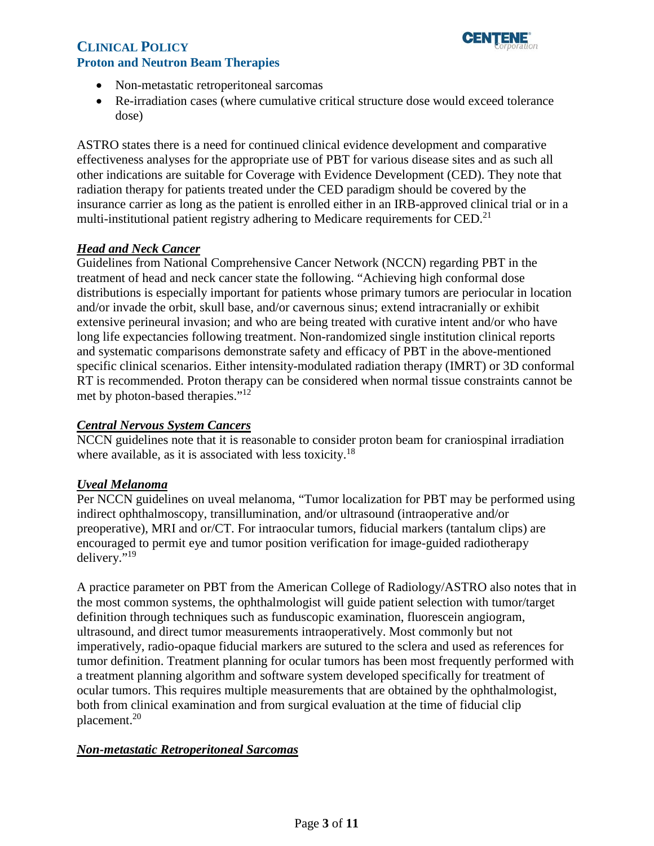

- Non-metastatic retroperitoneal sarcomas
- Re-irradiation cases (where cumulative critical structure dose would exceed tolerance dose)

ASTRO states there is a need for continued clinical evidence development and comparative effectiveness analyses for the appropriate use of PBT for various disease sites and as such all other indications are suitable for Coverage with Evidence Development (CED). They note that radiation therapy for patients treated under the CED paradigm should be covered by the insurance carrier as long as the patient is enrolled either in an IRB-approved clinical trial or in a multi-institutional patient registry adhering to Medicare requirements for CED.<sup>21</sup>

#### *Head and Neck Cancer*

Guidelines from National Comprehensive Cancer Network (NCCN) regarding PBT in the treatment of head and neck cancer state the following. "Achieving high conformal dose distributions is especially important for patients whose primary tumors are periocular in location and/or invade the orbit, skull base, and/or cavernous sinus; extend intracranially or exhibit extensive perineural invasion; and who are being treated with curative intent and/or who have long life expectancies following treatment. Non-randomized single institution clinical reports and systematic comparisons demonstrate safety and efficacy of PBT in the above-mentioned specific clinical scenarios. Either intensity-modulated radiation therapy (IMRT) or 3D conformal RT is recommended. Proton therapy can be considered when normal tissue constraints cannot be met by photon-based therapies."12

#### *Central Nervous System Cancers*

NCCN guidelines note that it is reasonable to consider proton beam for craniospinal irradiation where available, as it is associated with less toxicity.<sup>18</sup>

#### *Uveal Melanoma*

Per NCCN guidelines on uveal melanoma, "Tumor localization for PBT may be performed using indirect ophthalmoscopy, transillumination, and/or ultrasound (intraoperative and/or preoperative), MRI and or/CT. For intraocular tumors, fiducial markers (tantalum clips) are encouraged to permit eye and tumor position verification for image-guided radiotherapy delivery."19

A practice parameter on PBT from the American College of Radiology/ASTRO also notes that in the most common systems, the ophthalmologist will guide patient selection with tumor/target definition through techniques such as funduscopic examination, fluorescein angiogram, ultrasound, and direct tumor measurements intraoperatively. Most commonly but not imperatively, radio-opaque fiducial markers are sutured to the sclera and used as references for tumor definition. Treatment planning for ocular tumors has been most frequently performed with a treatment planning algorithm and software system developed specifically for treatment of ocular tumors. This requires multiple measurements that are obtained by the ophthalmologist, both from clinical examination and from surgical evaluation at the time of fiducial clip placement.<sup>20</sup>

#### *Non-metastatic Retroperitoneal Sarcomas*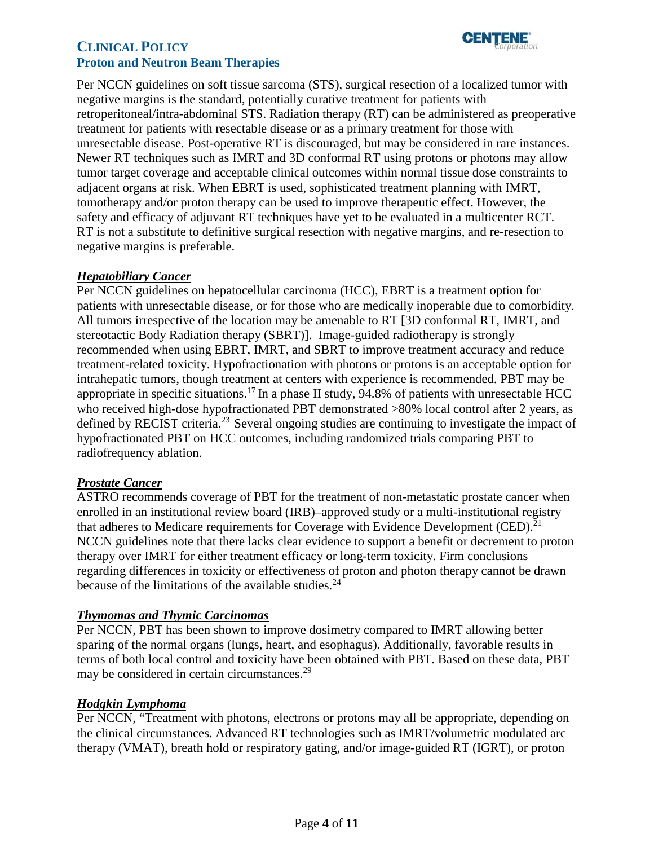

 negative margins is the standard, potentially curative treatment for patients with Newer RT techniques such as IMRT and 3D conformal RT using protons or photons may allow safety and efficacy of adjuvant RT techniques have yet to be evaluated in a multicenter RCT. Per NCCN guidelines on soft tissue sarcoma (STS), surgical resection of a localized tumor with retroperitoneal/intra-abdominal STS. Radiation therapy (RT) can be administered as preoperative treatment for patients with resectable disease or as a primary treatment for those with unresectable disease. Post-operative RT is discouraged, but may be considered in rare instances. tumor target coverage and acceptable clinical outcomes within normal tissue dose constraints to adjacent organs at risk. When EBRT is used, sophisticated treatment planning with IMRT, tomotherapy and/or proton therapy can be used to improve therapeutic effect. However, the RT is not a substitute to definitive surgical resection with negative margins, and re-resection to negative margins is preferable.

# *Hepatobiliary Cancer*

Per NCCN guidelines on hepatocellular carcinoma (HCC), EBRT is a treatment option for patients with unresectable disease, or for those who are medically inoperable due to comorbidity. All tumors irrespective of the location may be amenable to RT [3D conformal RT, IMRT, and stereotactic Body Radiation therapy (SBRT)]. Image-guided radiotherapy is strongly recommended when using EBRT, IMRT, and SBRT to improve treatment accuracy and reduce treatment-related toxicity. Hypofractionation with photons or protons is an acceptable option for intrahepatic tumors, though treatment at centers with experience is recommended. PBT may be appropriate in specific situations.<sup>17</sup> In a phase II study,  $94.8\%$  of patients with unresectable HCC who received high-dose hypofractionated PBT demonstrated >80% local control after 2 years, as defined by RECIST criteria.<sup>23</sup> Several ongoing studies are continuing to investigate the impact of hypofractionated PBT on HCC outcomes, including randomized trials comparing PBT to radiofrequency ablation.

#### *Prostate Cancer*

ASTRO recommends coverage of PBT for the treatment of non-metastatic prostate cancer when enrolled in an institutional review board (IRB)–approved study or a multi-institutional registry that adheres to Medicare requirements for Coverage with Evidence Development (CED).<sup>21</sup> NCCN guidelines note that there lacks clear evidence to support a benefit or decrement to proton therapy over IMRT for either treatment efficacy or long-term toxicity. Firm conclusions regarding differences in toxicity or effectiveness of proton and photon therapy cannot be drawn because of the limitations of the available studies. $24$ 

#### *Thymomas and Thymic Carcinomas*

Per NCCN, PBT has been shown to improve dosimetry compared to IMRT allowing better sparing of the normal organs (lungs, heart, and esophagus). Additionally, favorable results in terms of both local control and toxicity have been obtained with PBT. Based on these data, PBT may be considered in certain circumstances.<sup>29</sup>

#### *Hodgkin Lymphoma*

Per NCCN, "Treatment with photons, electrons or protons may all be appropriate, depending on the clinical circumstances. Advanced RT technologies such as IMRT/volumetric modulated arc therapy (VMAT), breath hold or respiratory gating, and/or image-guided RT (IGRT), or proton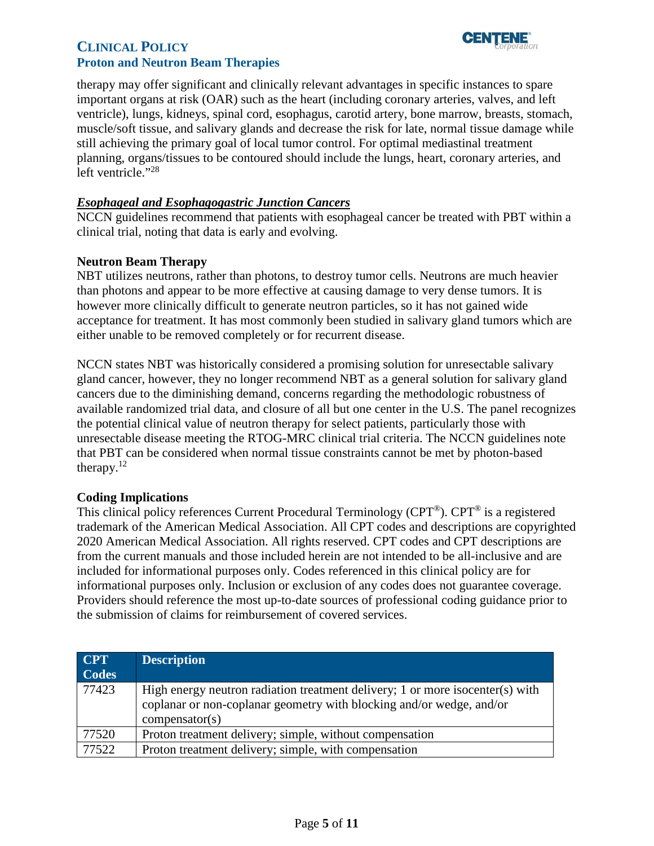

# **CLINICAL POLICY Proton and Neutron Beam Therapies**

therapy may offer significant and clinically relevant advantages in specific instances to spare important organs at risk (OAR) such as the heart (including coronary arteries, valves, and left ventricle), lungs, kidneys, spinal cord, esophagus, carotid artery, bone marrow, breasts, stomach, muscle/soft tissue, and salivary glands and decrease the risk for late, normal tissue damage while still achieving the primary goal of local tumor control. For optimal mediastinal treatment planning, organs/tissues to be contoured should include the lungs, heart, coronary arteries, and left ventricle."<sup>28</sup>

# *Esophageal and Esophagogastric Junction Cancers*

NCCN guidelines recommend that patients with esophageal cancer be treated with PBT within a clinical trial, noting that data is early and evolving.

# **Neutron Beam Therapy**

NBT utilizes neutrons, rather than photons, to destroy tumor cells. Neutrons are much heavier than photons and appear to be more effective at causing damage to very dense tumors. It is however more clinically difficult to generate neutron particles, so it has not gained wide acceptance for treatment. It has most commonly been studied in salivary gland tumors which are either unable to be removed completely or for recurrent disease.

NCCN states NBT was historically considered a promising solution for unresectable salivary gland cancer, however, they no longer recommend NBT as a general solution for salivary gland cancers due to the diminishing demand, concerns regarding the methodologic robustness of available randomized trial data, and closure of all but one center in the U.S. The panel recognizes the potential clinical value of neutron therapy for select patients, particularly those with unresectable disease meeting the RTOG-MRC clinical trial criteria. The NCCN guidelines note that PBT can be considered when normal tissue constraints cannot be met by photon-based therapy. $12$ 

#### <span id="page-4-0"></span>**Coding Implications**

This clinical policy references Current Procedural Terminology (CPT®). CPT® is a registered trademark of the American Medical Association. All CPT codes and descriptions are copyrighted 2020 American Medical Association. All rights reserved. CPT codes and CPT descriptions are from the current manuals and those included herein are not intended to be all-inclusive and are included for informational purposes only. Codes referenced in this clinical policy are for informational purposes only. Inclusion or exclusion of any codes does not guarantee coverage. Providers should reference the most up-to-date sources of professional coding guidance prior to the submission of claims for reimbursement of covered services.

| <b>CPT</b><br><b>Codes</b> | <b>Description</b>                                                                                                                                                      |
|----------------------------|-------------------------------------------------------------------------------------------------------------------------------------------------------------------------|
| 77423                      | High energy neutron radiation treatment delivery; 1 or more isocenter(s) with<br>coplanar or non-coplanar geometry with blocking and/or wedge, and/or<br>compensator(s) |
| 77520                      | Proton treatment delivery; simple, without compensation                                                                                                                 |
| 77522                      | Proton treatment delivery; simple, with compensation                                                                                                                    |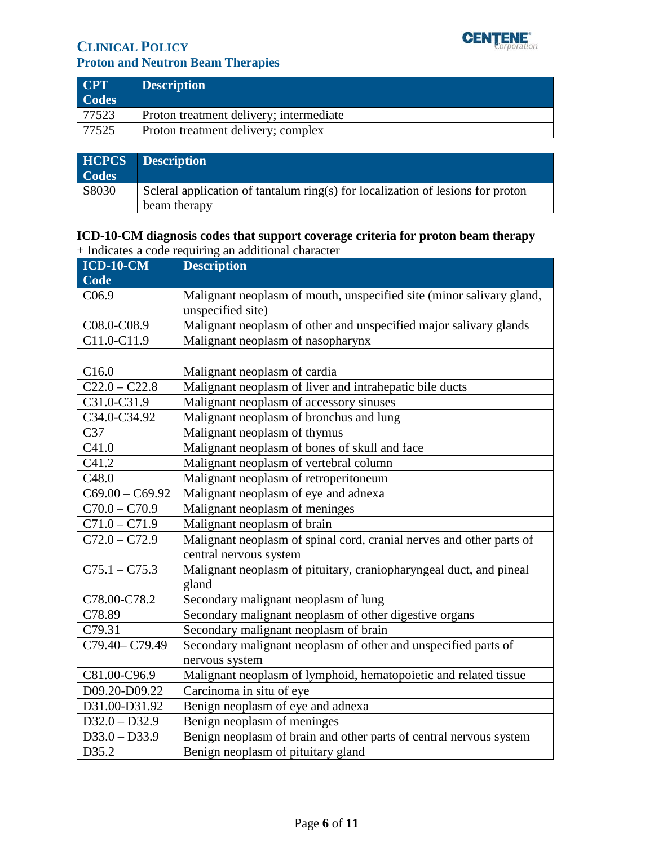

# **CLINICAL POLICY Proton and Neutron Beam Therapies**

| <b>CPT</b><br><b>Codes</b> | <b>Description</b>                      |
|----------------------------|-----------------------------------------|
| 77523                      | Proton treatment delivery; intermediate |
| 77525                      | Proton treatment delivery; complex      |

| <b>Codes</b> | <b>HCPCS</b> Description                                                                       |
|--------------|------------------------------------------------------------------------------------------------|
| S8030        | Scleral application of tantalum ring(s) for localization of lesions for proton<br>beam therapy |

# **ICD-10-CM diagnosis codes that support coverage criteria for proton beam therapy**  + Indicates a code requiring an additional character

| <b>ICD-10-CM</b>  | <b>Description</b>                                                   |
|-------------------|----------------------------------------------------------------------|
| Code              |                                                                      |
| C <sub>06.9</sub> | Malignant neoplasm of mouth, unspecified site (minor salivary gland, |
|                   | unspecified site)                                                    |
| C08.0-C08.9       | Malignant neoplasm of other and unspecified major salivary glands    |
| C11.0-C11.9       | Malignant neoplasm of nasopharynx                                    |
|                   |                                                                      |
| C16.0             | Malignant neoplasm of cardia                                         |
| $C22.0 - C22.8$   | Malignant neoplasm of liver and intrahepatic bile ducts              |
| C31.0-C31.9       | Malignant neoplasm of accessory sinuses                              |
| C34.0-C34.92      | Malignant neoplasm of bronchus and lung                              |
| C37               | Malignant neoplasm of thymus                                         |
| C41.0             | Malignant neoplasm of bones of skull and face                        |
| C41.2             | Malignant neoplasm of vertebral column                               |
| C48.0             | Malignant neoplasm of retroperitoneum                                |
| $C69.00 - C69.92$ | Malignant neoplasm of eye and adnexa                                 |
| $C70.0 - C70.9$   | Malignant neoplasm of meninges                                       |
| $C71.0 - C71.9$   | Malignant neoplasm of brain                                          |
| $C72.0 - C72.9$   | Malignant neoplasm of spinal cord, cranial nerves and other parts of |
|                   | central nervous system                                               |
| $C75.1 - C75.3$   | Malignant neoplasm of pituitary, craniopharyngeal duct, and pineal   |
|                   | gland                                                                |
| C78.00-C78.2      | Secondary malignant neoplasm of lung                                 |
| C78.89            | Secondary malignant neoplasm of other digestive organs               |
| C79.31            | Secondary malignant neoplasm of brain                                |
| C79.40-C79.49     | Secondary malignant neoplasm of other and unspecified parts of       |
|                   | nervous system                                                       |
| C81.00-C96.9      | Malignant neoplasm of lymphoid, hematopoietic and related tissue     |
| D09.20-D09.22     | Carcinoma in situ of eye                                             |
| D31.00-D31.92     | Benign neoplasm of eye and adnexa                                    |
| $D32.0 - D32.9$   | Benign neoplasm of meninges                                          |
| $D33.0 - D33.9$   | Benign neoplasm of brain and other parts of central nervous system   |
| D35.2             | Benign neoplasm of pituitary gland                                   |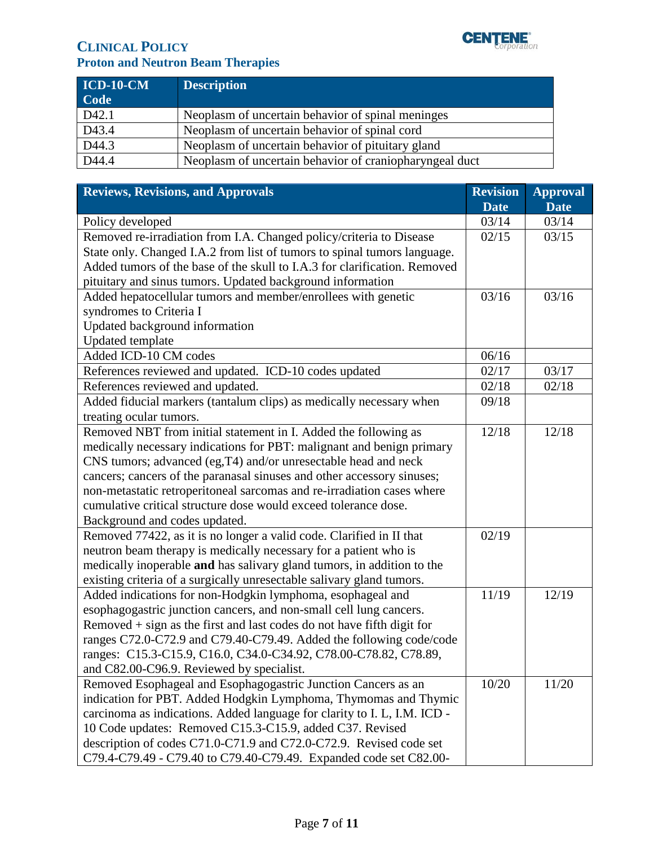

# **CLINICAL POLICY CLINICAL POLICY Proton and Neutron Beam Therapies**

| $ICD-10-CM$<br>Code | <b>Description</b>                                      |
|---------------------|---------------------------------------------------------|
| D42.1               | Neoplasm of uncertain behavior of spinal meninges       |
| $\overline{D43.4}$  | Neoplasm of uncertain behavior of spinal cord           |
| D44.3               | Neoplasm of uncertain behavior of pituitary gland       |
| D44.4               | Neoplasm of uncertain behavior of craniopharyngeal duct |

<span id="page-6-0"></span>

| <b>Reviews, Revisions, and Approvals</b>                                                       |                      | <b>Approval</b><br><b>Date</b> |
|------------------------------------------------------------------------------------------------|----------------------|--------------------------------|
| Policy developed                                                                               | <b>Date</b><br>03/14 | 03/14                          |
| Removed re-irradiation from I.A. Changed policy/criteria to Disease                            |                      | 03/15                          |
| State only. Changed I.A.2 from list of tumors to spinal tumors language.                       |                      |                                |
| Added tumors of the base of the skull to I.A.3 for clarification. Removed                      |                      |                                |
| pituitary and sinus tumors. Updated background information                                     | 03/16                |                                |
| Added hepatocellular tumors and member/enrollees with genetic                                  |                      | 03/16                          |
| syndromes to Criteria I                                                                        |                      |                                |
| Updated background information<br>Updated template                                             |                      |                                |
| Added ICD-10 CM codes                                                                          | 06/16                |                                |
|                                                                                                | 02/17                | 03/17                          |
| References reviewed and updated. ICD-10 codes updated<br>References reviewed and updated.      | 02/18                | 02/18                          |
|                                                                                                | 09/18                |                                |
| Added fiducial markers (tantalum clips) as medically necessary when<br>treating ocular tumors. |                      |                                |
| Removed NBT from initial statement in I. Added the following as                                | 12/18                | 12/18                          |
| medically necessary indications for PBT: malignant and benign primary                          |                      |                                |
| CNS tumors; advanced (eg, T4) and/or unresectable head and neck                                |                      |                                |
| cancers; cancers of the paranasal sinuses and other accessory sinuses;                         |                      |                                |
| non-metastatic retroperitoneal sarcomas and re-irradiation cases where                         |                      |                                |
| cumulative critical structure dose would exceed tolerance dose.                                |                      |                                |
| Background and codes updated.                                                                  |                      |                                |
| Removed 77422, as it is no longer a valid code. Clarified in II that                           | 02/19                |                                |
| neutron beam therapy is medically necessary for a patient who is                               |                      |                                |
| medically inoperable and has salivary gland tumors, in addition to the                         |                      |                                |
| existing criteria of a surgically unresectable salivary gland tumors.                          |                      |                                |
| Added indications for non-Hodgkin lymphoma, esophageal and                                     | 11/19                | 12/19                          |
| esophagogastric junction cancers, and non-small cell lung cancers.                             |                      |                                |
| Removed + sign as the first and last codes do not have fifth digit for                         |                      |                                |
| ranges C72.0-C72.9 and C79.40-C79.49. Added the following code/code                            |                      |                                |
| ranges: C15.3-C15.9, C16.0, C34.0-C34.92, C78.00-C78.82, C78.89,                               |                      |                                |
| and C82.00-C96.9. Reviewed by specialist.                                                      | 10/20                |                                |
| Removed Esophageal and Esophagogastric Junction Cancers as an                                  |                      | 11/20                          |
| indication for PBT. Added Hodgkin Lymphoma, Thymomas and Thymic                                |                      |                                |
| carcinoma as indications. Added language for clarity to I. L, I.M. ICD -                       |                      |                                |
| 10 Code updates: Removed C15.3-C15.9, added C37. Revised                                       |                      |                                |
| description of codes C71.0-C71.9 and C72.0-C72.9. Revised code set                             |                      |                                |
| C79.4-C79.49 - C79.40 to C79.40-C79.49. Expanded code set C82.00-                              |                      |                                |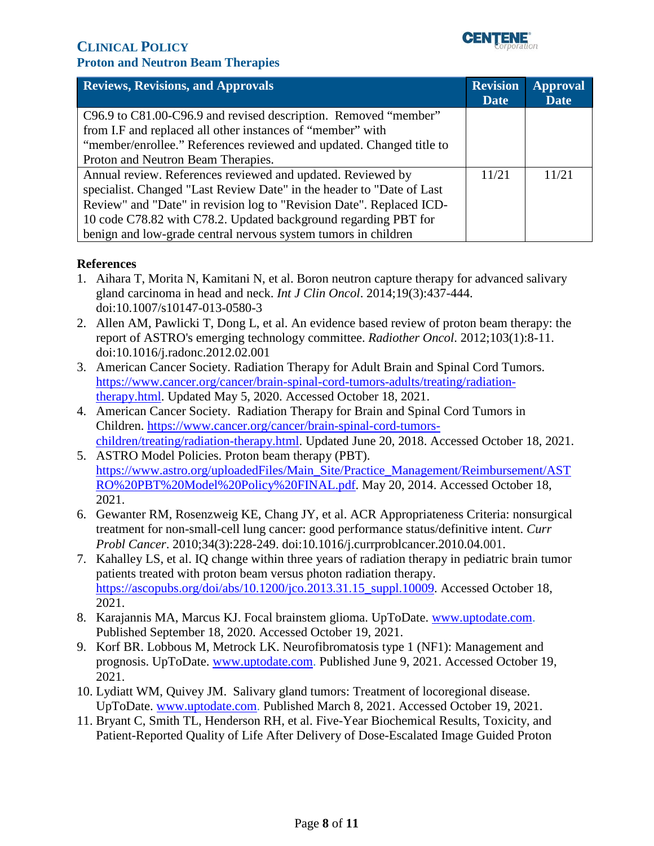

| <b>Reviews, Revisions, and Approvals</b>                              |             | <b>Approval</b> |
|-----------------------------------------------------------------------|-------------|-----------------|
|                                                                       | <b>Date</b> | <b>Date</b>     |
| C96.9 to C81.00-C96.9 and revised description. Removed "member"       |             |                 |
| from I.F and replaced all other instances of "member" with            |             |                 |
| "member/enrollee." References reviewed and updated. Changed title to  |             |                 |
| Proton and Neutron Beam Therapies.                                    |             |                 |
| Annual review. References reviewed and updated. Reviewed by           | 11/21       | 11/21           |
| specialist. Changed "Last Review Date" in the header to "Date of Last |             |                 |
| Review" and "Date" in revision log to "Revision Date". Replaced ICD-  |             |                 |
| 10 code C78.82 with C78.2. Updated background regarding PBT for       |             |                 |
| benign and low-grade central nervous system tumors in children        |             |                 |

#### **References**

- 1. Aihara T, Morita N, Kamitani N, et al. Boron neutron capture therapy for advanced salivary gland carcinoma in head and neck. *Int J Clin Oncol*. 2014;19(3):437-444. doi:10.1007/s10147-013-0580-3
- 2. Allen AM, Pawlicki T, Dong L, et al. An evidence based review of proton beam therapy: the report of ASTRO's emerging technology committee. *Radiother Oncol*. 2012;103(1):8-11. doi:10.1016/j.radonc.2012.02.001
- 3. American Cancer Society. Radiation Therapy for Adult Brain and Spinal Cord Tumors. [https://www.cancer.org/cancer/brain-spinal-cord-tumors-adults/treating/radiation](https://www.cancer.org/cancer/brain-spinal-cord-tumors-adults/treating/radiation-therapy.html)[therapy.html.](https://www.cancer.org/cancer/brain-spinal-cord-tumors-adults/treating/radiation-therapy.html) Updated May 5, 2020. Accessed October 18, 2021.
- 4. American Cancer Society. Radiation Therapy for Brain and Spinal Cord Tumors in Children. [https://www.cancer.org/cancer/brain-spinal-cord-tumors](https://www.cancer.org/cancer/brain-spinal-cord-tumors-children/treating/radiation-therapy.html)[children/treating/radiation-therapy.html.](https://www.cancer.org/cancer/brain-spinal-cord-tumors-children/treating/radiation-therapy.html) Updated June 20, 2018. Accessed October 18, 2021.
- 5. ASTRO Model Policies. Proton beam therapy (PBT). [https://www.astro.org/uploadedFiles/Main\\_Site/Practice\\_Management/Reimbursement/AST](https://www.astro.org/uploadedFiles/Main_Site/Practice_Management/Reimbursement/ASTRO%20PBT%20Model%20Policy%20FINAL.pdf)  [RO%20PBT%20Model%20Policy%20FINAL.pdf.](https://www.astro.org/uploadedFiles/Main_Site/Practice_Management/Reimbursement/ASTRO%20PBT%20Model%20Policy%20FINAL.pdf) May 20, 2014. Accessed October 18, 2021.
- 6. Gewanter RM, Rosenzweig KE, Chang JY, et al. ACR Appropriateness Criteria: nonsurgical treatment for non-small-cell lung cancer: good performance status/definitive intent. *Curr Probl Cancer*. 2010;34(3):228-249. doi:10.1016/j.currproblcancer.2010.04.001.
- 7. Kahalley LS, et al. IQ change within three years of radiation therapy in pediatric brain tumor patients treated with proton beam versus photon radiation therapy. [https://ascopubs.org/doi/abs/10.1200/jco.2013.31.15\\_suppl.10009.](https://ascopubs.org/doi/abs/10.1200/jco.2013.31.15_suppl.10009) Accessed October 18, 2021.
- 8. Karajannis MA, Marcus KJ. Focal brainstem glioma. UpToDate. [www.uptodate.com.](http://www.uptodate.com/) Published September 18, 2020. Accessed October 19, 2021.
- 9. Korf BR. Lobbous M, Metrock LK. Neurofibromatosis type 1 (NF1): Management and prognosis. UpToDate. [www.uptodate.com.](http://www.uptodate.com/) Published June 9, 2021. Accessed October 19, 2021.
- 10. Lydiatt WM, Quivey JM. Salivary gland tumors: Treatment of locoregional disease. UpToDate. [www.uptodate.com.](http://www.uptodate.com/) Published March 8, 2021. Accessed October 19, 2021.
- 11. Bryant C, Smith TL, Henderson RH, et al. Five-Year Biochemical Results, Toxicity, and Patient-Reported Quality of Life After Delivery of Dose-Escalated Image Guided Proton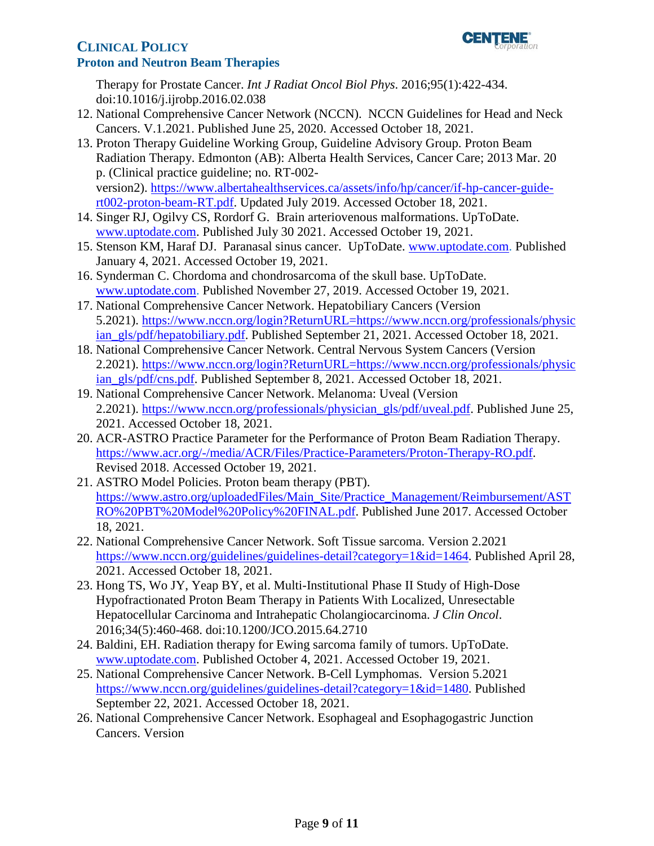

Therapy for Prostate Cancer. *Int J Radiat Oncol Biol Phys*. 2016;95(1):422-434. doi:10.1016/j.ijrobp.2016.02.038

- 12. National Comprehensive Cancer Network (NCCN). NCCN Guidelines for Head and Neck Cancers. V.1.2021. Published June 25, 2020. Accessed October 18, 2021.
- 13. Proton Therapy Guideline Working Group, Guideline Advisory Group. Proton Beam Radiation Therapy. Edmonton (AB): Alberta Health Services, Cancer Care; 2013 Mar. 20 p. (Clinical practice guideline; no. RT-002 version2). [https://www.albertahealthservices.ca/assets/info/hp/cancer/if-hp-cancer-guide](https://www.albertahealthservices.ca/assets/info/hp/cancer/if-hp-cancer-guide-rt002-proton-beam-RT.pdf)[rt002-proton-beam-RT.pdf.](https://www.albertahealthservices.ca/assets/info/hp/cancer/if-hp-cancer-guide-rt002-proton-beam-RT.pdf) Updated July 2019. Accessed October 18, 2021.
- 14. Singer RJ, Ogilvy CS, Rordorf G. Brain arteriovenous malformations. UpToDate. [www.uptodate.com.](http://www.uptodate.com/) Published July 30 2021. Accessed October 19, 2021.
- 15. Stenson KM, Haraf DJ. Paranasal sinus cancer. UpToDate. [www.uptodate.com.](http://www.uptodate.com/) Published January 4, 2021. Accessed October 19, 2021.
- 16. Synderman C. Chordoma and chondrosarcoma of the skull base. UpToDate. [www.uptodate.com.](http://www.uptodate.com/) Published November 27, 2019. Accessed October 19, 2021.
- 17. National Comprehensive Cancer Network. Hepatobiliary Cancers (Version 5.2021). [https://www.nccn.org/login?ReturnURL=https://www.nccn.org/professionals/physic](https://www.nccn.org/login?ReturnURL=https://www.nccn.org/professionals/physician_gls/pdf/hepatobiliary.pdf)  [ian\\_gls/pdf/hepatobiliary.pdf.](https://www.nccn.org/login?ReturnURL=https://www.nccn.org/professionals/physician_gls/pdf/hepatobiliary.pdf) Published September 21, 2021. Accessed October 18, 2021.
- 18. National Comprehensive Cancer Network. Central Nervous System Cancers (Version 2.2021). [https://www.nccn.org/login?ReturnURL=https://www.nccn.org/professionals/physic](https://www.nccn.org/login?ReturnURL=https://www.nccn.org/professionals/physician_gls/pdf/cns.pdf)  [ian\\_gls/pdf/cns.pdf.](https://www.nccn.org/login?ReturnURL=https://www.nccn.org/professionals/physician_gls/pdf/cns.pdf) Published September 8, 2021. Accessed October 18, 2021.
- 19. National Comprehensive Cancer Network. Melanoma: Uveal (Version 2.2021). [https://www.nccn.org/professionals/physician\\_gls/pdf/uveal.pdf.](https://www.nccn.org/professionals/physician_gls/pdf/uveal.pdf) Published June 25, 2021. Accessed October 18, 2021.
- 20. ACR-ASTRO Practice Parameter for the Performance of Proton Beam Radiation Therapy. [https://www.acr.org/-/media/ACR/Files/Practice-Parameters/Proton-Therapy-RO.pdf.](https://www.acr.org/-/media/ACR/Files/Practice-Parameters/Proton-Therapy-RO.pdf) Revised 2018. Accessed October 19, 2021.
- 21. ASTRO Model Policies. Proton beam therapy (PBT). https://www.astro.org/uploadedFiles/Main\_Site/Practice\_Management/Reimbursement/AST [RO%20PBT%20Model%20Policy%20FINAL.pdf.](https://www.astro.org/uploadedFiles/Main_Site/Practice_Management/Reimbursement/ASTRO%20PBT%20Model%20Policy%20FINAL.pdf) Published June 2017. Accessed October 18, 2021.
- 22. National Comprehensive Cancer Network. Soft Tissue sarcoma. Version 2.2021 [https://www.nccn.org/guidelines/guidelines-detail?category=1&id=1464.](https://www.nccn.org/guidelines/guidelines-detail?category=1&id=1464) Published April 28, 2021. Accessed October 18, 2021.
- 23. Hong TS, Wo JY, Yeap BY, et al. Multi-Institutional Phase II Study of High-Dose Hypofractionated Proton Beam Therapy in Patients With Localized, Unresectable Hepatocellular Carcinoma and Intrahepatic Cholangiocarcinoma. *J Clin Oncol*. 2016;34(5):460-468. doi:10.1200/JCO.2015.64.2710
- 24. Baldini, EH. Radiation therapy for Ewing sarcoma family of tumors. UpToDate. [www.uptodate.com.](http://www.uptodate.com/) Published October 4, 2021. Accessed October 19, 2021.
- 25. National Comprehensive Cancer Network. B-Cell Lymphomas. Version 5.2021 [https://www.nccn.org/guidelines/guidelines-detail?category=1&id=1480.](https://www.nccn.org/guidelines/guidelines-detail?category=1&id=1480) Published September 22, 2021. Accessed October 18, 2021.
- 26. National Comprehensive Cancer Network. Esophageal and Esophagogastric Junction Cancers. Version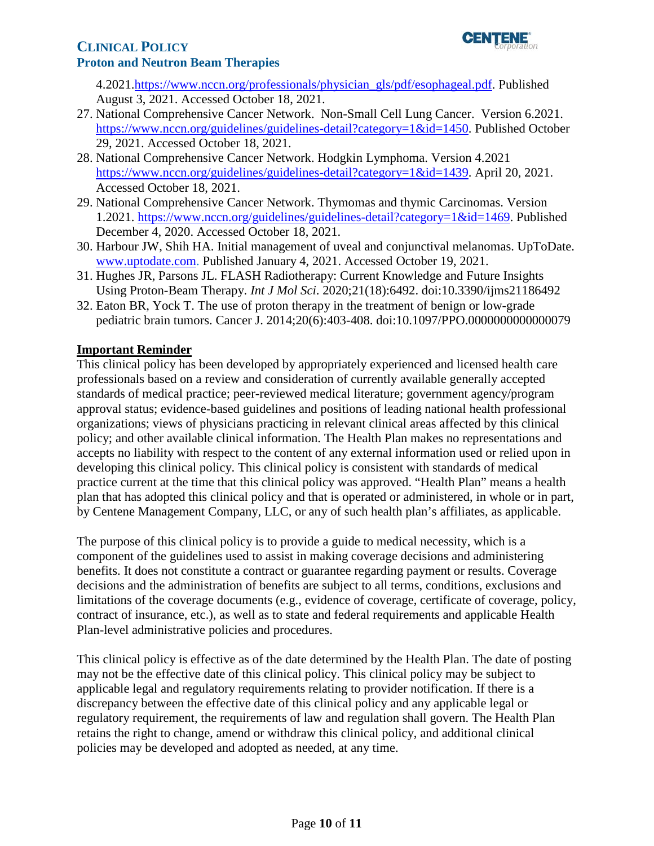

4.2021[.https://www.nccn.org/professionals/physician\\_gls/pdf/esophageal.pdf.](https://www.nccn.org/professionals/physician_gls/pdf/esophageal.pdf) Published August 3, 2021. Accessed October 18, 2021.

- 27. National Comprehensive Cancer Network. Non-Small Cell Lung Cancer. Version 6.2021. [https://www.nccn.org/guidelines/guidelines-detail?category=1&id=1450.](https://www.nccn.org/guidelines/guidelines-detail?category=1&id=1450) Published October 29, 2021. Accessed October 18, 2021.
- 28. National Comprehensive Cancer Network. Hodgkin Lymphoma. Version 4.2021 [https://www.nccn.org/guidelines/guidelines-detail?category=1&id=1439.](https://www.nccn.org/guidelines/guidelines-detail?category=1&id=1439) April 20, 2021. Accessed October 18, 2021.
- 29. National Comprehensive Cancer Network. Thymomas and thymic Carcinomas. Version 1.2021. [https://www.nccn.org/guidelines/guidelines-detail?category=1&id=1469.](https://www.nccn.org/guidelines/guidelines-detail?category=1&id=1469) Published December 4, 2020. Accessed October 18, 2021.
- 30. Harbour JW, Shih HA. Initial management of uveal and conjunctival melanomas. UpToDate. [www.uptodate.com.](http://www.uptodate.com/) Published January 4, 2021. Accessed October 19, 2021.
- 31. Hughes JR, Parsons JL. FLASH Radiotherapy: Current Knowledge and Future Insights Using Proton-Beam Therapy. *Int J Mol Sci*. 2020;21(18):6492. doi:10.3390/ijms21186492
- 32. Eaton BR, Yock T. The use of proton therapy in the treatment of benign or low-grade pediatric brain tumors. Cancer J. 2014;20(6):403-408. doi:10.1097/PPO.0000000000000079

# <span id="page-9-0"></span>**Important Reminder**

 This clinical policy has been developed by appropriately experienced and licensed health care professionals based on a review and consideration of currently available generally accepted standards of medical practice; peer-reviewed medical literature; government agency/program approval status; evidence-based guidelines and positions of leading national health professional organizations; views of physicians practicing in relevant clinical areas affected by this clinical policy; and other available clinical information. The Health Plan makes no representations and accepts no liability with respect to the content of any external information used or relied upon in developing this clinical policy. This clinical policy is consistent with standards of medical practice current at the time that this clinical policy was approved. "Health Plan" means a health plan that has adopted this clinical policy and that is operated or administered, in whole or in part, by Centene Management Company, LLC, or any of such health plan's affiliates, as applicable.

 The purpose of this clinical policy is to provide a guide to medical necessity, which is a component of the guidelines used to assist in making coverage decisions and administering benefits. It does not constitute a contract or guarantee regarding payment or results. Coverage decisions and the administration of benefits are subject to all terms, conditions, exclusions and limitations of the coverage documents (e.g., evidence of coverage, certificate of coverage, policy, contract of insurance, etc.), as well as to state and federal requirements and applicable Health Plan-level administrative policies and procedures.

 applicable legal and regulatory requirements relating to provider notification. If there is a This clinical policy is effective as of the date determined by the Health Plan. The date of posting may not be the effective date of this clinical policy. This clinical policy may be subject to discrepancy between the effective date of this clinical policy and any applicable legal or regulatory requirement, the requirements of law and regulation shall govern. The Health Plan retains the right to change, amend or withdraw this clinical policy, and additional clinical policies may be developed and adopted as needed, at any time.